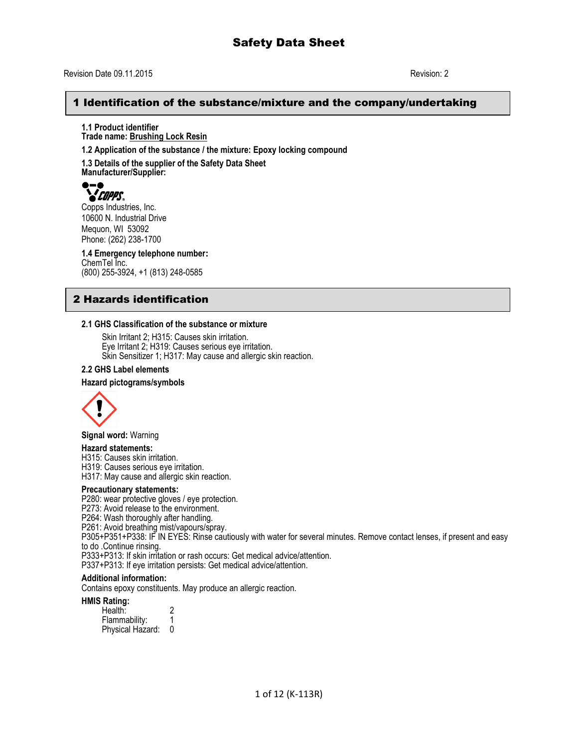# Revision Date 09.11.2015 Revision: 2

# 1 Identification of the substance/mixture and the company/undertaking

**1.1 Product identifier Trade name: Brushing Lock Resin**

**1.2 Application of the substance / the mixture: Epoxy locking compound**

**1.3 Details of the supplier of the Safety Data Sheet Manufacturer/Supplier:**



Copps Industries, Inc. 10600 N. Industrial Drive Mequon, WI 53092 Phone: (262) 238-1700

**1.4 Emergency telephone number:** ChemTel Inc. (800) 255-3924, +1 (813) 248-0585

# 2 Hazards identification

## **2.1 GHS Classification of the substance or mixture**

Skin Irritant 2; H315: Causes skin irritation. Eye Irritant 2; H319: Causes serious eye irritation. Skin Sensitizer 1; H317: May cause and allergic skin reaction.

#### **2.2 GHS Label elements**

#### **Hazard pictograms/symbols**



**Signal word:** Warning

#### **Hazard statements:**

H315: Causes skin irritation.

H319: Causes serious eye irritation.

H317: May cause and allergic skin reaction.

#### **Precautionary statements:**

P280: wear protective gloves / eye protection.

P273: Avoid release to the environment.

P264: Wash thoroughly after handling.

P261: Avoid breathing mist/vapours/spray.

P305+P351+P338: IF IN EYES: Rinse cautiously with water for several minutes. Remove contact lenses, if present and easy to do .Continue rinsing.

P333+P313: If skin irritation or rash occurs: Get medical advice/attention.

P337+P313: If eye irritation persists: Get medical advice/attention.

#### **Additional information:**

Contains epoxy constituents. May produce an allergic reaction.

#### **HMIS Rating:**

| Health:          |  |
|------------------|--|
| Flammability:    |  |
| Physical Hazard: |  |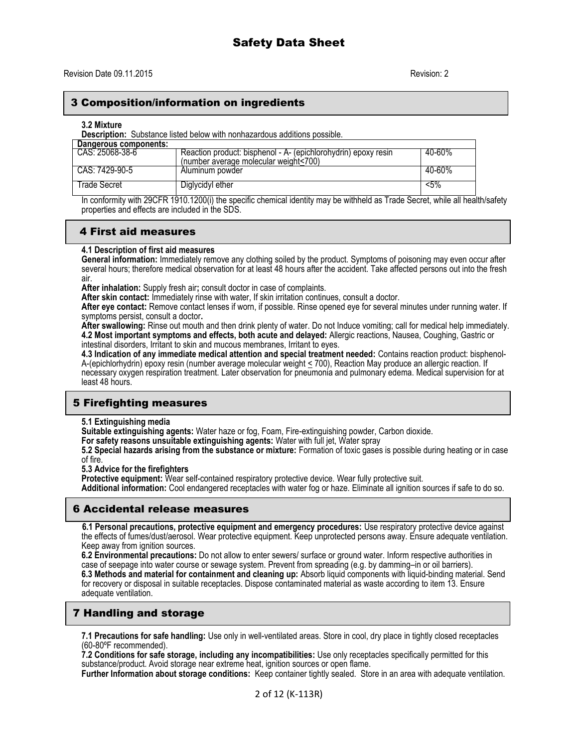# 3 Composition/information on ingredients

#### **3.2 Mixture**

**Description:** Substance listed below with nonhazardous additions possible.

| Dangerous components: |                                                                                                         |        |
|-----------------------|---------------------------------------------------------------------------------------------------------|--------|
| CAS: 25068-38-6       | Reaction product: bisphenol - A- (epichlorohydrin) epoxy resin<br>(number average molecular weight<700) | 40-60% |
| CAS: 7429-90-5        | Aluminum powder                                                                                         | 40-60% |
| Trade Secret          | Diglycidyl ether                                                                                        | $5\%$  |

In conformity with 29CFR 1910.1200(i) the specific chemical identity may be withheld as Trade Secret, while all health/safety properties and effects are included in the SDS.

# 4 First aid measures

## **4.1 Description of first aid measures**

**General information:** Immediately remove any clothing soiled by the product. Symptoms of poisoning may even occur after several hours; therefore medical observation for at least 48 hours after the accident. Take affected persons out into the fresh air.

**After inhalation:** Supply fresh air**;** consult doctor in case of complaints.

**After skin contact:** Immediately rinse with water, If skin irritation continues, consult a doctor.

**After eye contact:** Remove contact lenses if worn, if possible. Rinse opened eye for several minutes under running water. If symptoms persist, consult a doctor**.**

**After swallowing:** Rinse out mouth and then drink plenty of water. Do not Induce vomiting; call for medical help immediately. **4.2 Most important symptoms and effects, both acute and delayed:** Allergic reactions, Nausea, Coughing, Gastric or intestinal disorders, Irritant to skin and mucous membranes, Irritant to eyes.

**4.3 Indication of any immediate medical attention and special treatment needed:** Contains reaction product: bisphenol-A-(epichlorhydrin) epoxy resin (number average molecular weight < 700), Reaction May produce an allergic reaction. If necessary oxygen respiration treatment. Later observation for pneumonia and pulmonary edema. Medical supervision for at least 48 hours.

# 5 Firefighting measures

## **5.1 Extinguishing media**

**Suitable extinguishing agents:** Water haze or fog, Foam, Fire-extinguishing powder, Carbon dioxide.

**For safety reasons unsuitable extinguishing agents:** Water with full jet, Water spray

**5.2 Special hazards arising from the substance or mixture:** Formation of toxic gases is possible during heating or in case of fire.

#### **5.3 Advice for the firefighters**

**Protective equipment:** Wear self-contained respiratory protective device. Wear fully protective suit.

**Additional information:** Cool endangered receptacles with water fog or haze. Eliminate all ignition sources if safe to do so.

# 6 Accidental release measures

 **6.1 Personal precautions, protective equipment and emergency procedures:** Use respiratory protective device against the effects of fumes/dust/aerosol. Wear protective equipment. Keep unprotected persons away. Ensure adequate ventilation. Keep away from ignition sources.

**6.2 Environmental precautions:** Do not allow to enter sewers/ surface or ground water. Inform respective authorities in case of seepage into water course or sewage system. Prevent from spreading (e.g. by damming–in or oil barriers). **6.3 Methods and material for containment and cleaning up:** Absorb liquid components with liquid-binding material. Send for recovery or disposal in suitable receptacles. Dispose contaminated material as waste according to item 13. Ensure adequate ventilation.

# 7 Handling and storage

**7.1 Precautions for safe handling:** Use only in well-ventilated areas. Store in cool, dry place in tightly closed receptacles (60-80ºF recommended).

**7.2 Conditions for safe storage, including any incompatibilities:** Use only receptacles specifically permitted for this substance/product. Avoid storage near extreme heat, ignition sources or open flame.

**Further Information about storage conditions:** Keep container tightly sealed. Store in an area with adequate ventilation.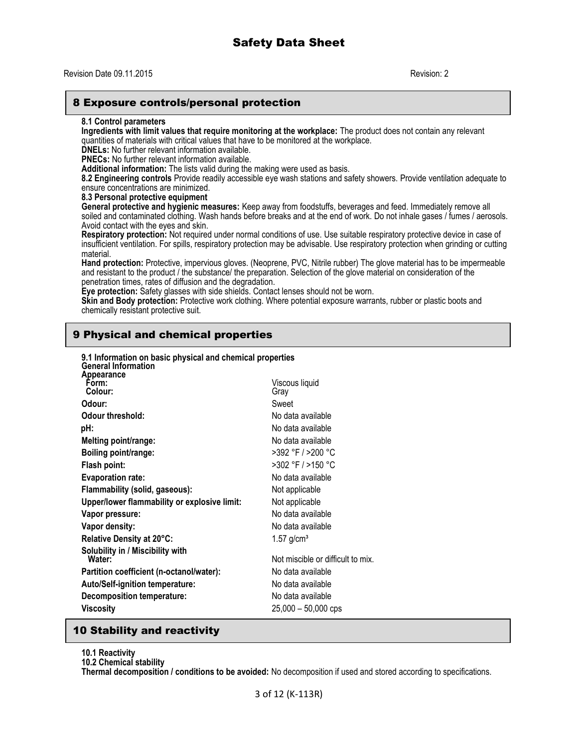# Revision Date 09.11.2015 Revision: 2

# 8 Exposure controls/personal protection

#### **8.1 Control parameters**

**Ingredients with limit values that require monitoring at the workplace:** The product does not contain any relevant quantities of materials with critical values that have to be monitored at the workplace.

**DNELs:** No further relevant information available.

**PNECs:** No further relevant information available.

**Additional information:** The lists valid during the making were used as basis.

**8.2 Engineering controls** Provide readily accessible eye wash stations and safety showers. Provide ventilation adequate to ensure concentrations are minimized.

**8.3 Personal protective equipment**

**General protective and hygienic measures:** Keep away from foodstuffs, beverages and feed. Immediately remove all soiled and contaminated clothing. Wash hands before breaks and at the end of work. Do not inhale gases / fumes / aerosols. Avoid contact with the eyes and skin.

**Respiratory protection:** Not required under normal conditions of use. Use suitable respiratory protective device in case of insufficient ventilation. For spills, respiratory protection may be advisable. Use respiratory protection when grinding or cutting material.

**Hand protection:** Protective, impervious gloves. (Neoprene, PVC, Nitrile rubber) The glove material has to be impermeable and resistant to the product / the substance/ the preparation. Selection of the glove material on consideration of the penetration times, rates of diffusion and the degradation.

**Eye protection:** Safety glasses with side shields. Contact lenses should not be worn.

**Skin and Body protection:** Protective work clothing. Where potential exposure warrants, rubber or plastic boots and chemically resistant protective suit.

# 9 Physical and chemical properties

**9.1 Information on basic physical and chemical properties**

| 9.1 Information on basic physical and chemical properties<br><b>General Information</b> |                                   |
|-----------------------------------------------------------------------------------------|-----------------------------------|
| Appearance<br>Form:<br>Colour:                                                          | Viscous liquid<br>Gray            |
| Odour:                                                                                  | Sweet                             |
| <b>Odour threshold:</b>                                                                 | No data available                 |
| pH:                                                                                     | No data available                 |
| Melting point/range:                                                                    | No data available                 |
| Boiling point/range:                                                                    | >392 °F / >200 °C                 |
| Flash point:                                                                            | >302 °F / >150 °C                 |
| <b>Evaporation rate:</b>                                                                | No data available                 |
| Flammability (solid, gaseous):                                                          | Not applicable                    |
| Upper/lower flammability or explosive limit:                                            | Not applicable                    |
| Vapor pressure:                                                                         | No data available                 |
| Vapor density:                                                                          | No data available                 |
| Relative Density at 20°C:                                                               | $1.57$ g/cm <sup>3</sup>          |
| Solubility in / Miscibility with<br>Water:                                              | Not miscible or difficult to mix. |
| Partition coefficient (n-octanol/water):                                                | No data available                 |
| <b>Auto/Self-ignition temperature:</b>                                                  | No data available                 |
| Decomposition temperature:                                                              | No data available                 |
| Viscosity                                                                               | $25,000 - 50,000$ cps             |
|                                                                                         |                                   |

# 10 Stability and reactivity

### **10.1 Reactivity**

**10.2 Chemical stability**

**Thermal decomposition / conditions to be avoided:** No decomposition if used and stored according to specifications.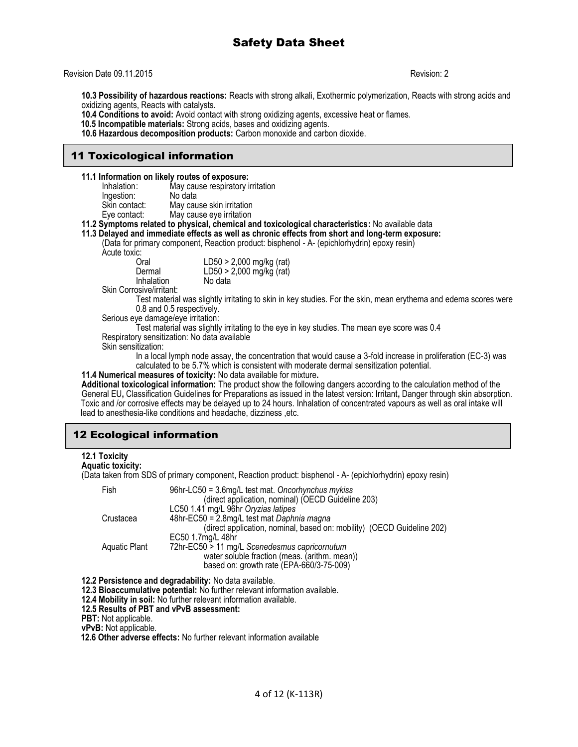### Revision Date 09.11.2015 Revision: 2

**10.3 Possibility of hazardous reactions:** Reacts with strong alkali, Exothermic polymerization, Reacts with strong acids and oxidizing agents, Reacts with catalysts.

**10.4 Conditions to avoid:** Avoid contact with strong oxidizing agents, excessive heat or flames.

 **10.5 Incompatible materials:** Strong acids, bases and oxidizing agents.

**10.6 Hazardous decomposition products:** Carbon monoxide and carbon dioxide.

# 11 Toxicological information

**11.1 Information on likely routes of exposure:**

| Inhalation:   | May cause respiratory irritation |
|---------------|----------------------------------|
| Ingestion:    | No data                          |
| Skin contact: | May cause skin irritation        |
| Eye contact:  | May cause eye irritation         |

**11.2 Symptoms related to physical, chemical and toxicological characteristics:** No available data

**11.3 Delayed and immediate effects as well as chronic effects from short and long-term exposure:** 

(Data for primary component, Reaction product: bisphenol - A- (epichlorhydrin) epoxy resin)

Acute toxic:

| u.<br>Oral      | LD50 > 2,000 mg/kg (rat) |
|-----------------|--------------------------|
| Dermal          | LD50 > 2,000 mg/kg (rat) |
| Inhalation<br>. | No data                  |

Skin Corrosive/irritant:

Test material was slightly irritating to skin in key studies. For the skin, mean erythema and edema scores were 0.8 and 0.5 respectively.

Serious eye damage/eye irritation:

Test material was slightly irritating to the eye in key studies. The mean eye score was 0.4 Respiratory sensitization: No data available

Skin sensitization:

In a local lymph node assay, the concentration that would cause a 3-fold increase in proliferation (EC-3) was calculated to be 5.7% which is consistent with moderate dermal sensitization potential.

**11.4 Numerical measures of toxicity:** No data available for mixture**.**

**Additional toxicological information:** The product show the following dangers according to the calculation method of the General EU**,** Classification Guidelines for Preparations as issued in the latest version: Irritant**,** Danger through skin absorption. Toxic and /or corrosive effects may be delayed up to 24 hours. Inhalation of concentrated vapours as well as oral intake will lead to anesthesia-like conditions and headache, dizziness ,etc.

# 12 Ecological information

## **12.1 Toxicity**

#### **Aquatic toxicity:**

(Data taken from SDS of primary component, Reaction product: bisphenol - A- (epichlorhydrin) epoxy resin)

| Fish          | 96hr-LC50 = 3.6mg/L test mat. Oncorhynchus mykiss<br>(direct application, nominal) (OECD Guideline 203) |
|---------------|---------------------------------------------------------------------------------------------------------|
|               | LC50 1.41 mg/L 96hr Oryzias latipes                                                                     |
| Crustacea     | 48hr-EC50 = 2.8mg/L test mat Daphnia magna                                                              |
|               | (direct application, nominal, based on: mobility) (OECD Guideline 202)                                  |
|               | EC50 1.7mg/L 48hr                                                                                       |
| Aquatic Plant | 72hr-EC50 > 11 mg/L Scenedesmus capricornutum                                                           |
|               | water soluble fraction (meas. (arithm. mean))                                                           |
|               | based on: growth rate (EPA-660/3-75-009)                                                                |
|               |                                                                                                         |

**12.2 Persistence and degradability:** No data available.

**12.3 Bioaccumulative potential:** No further relevant information available.

**12.4 Mobility in soil:** No further relevant information available.

**12.5 Results of PBT and vPvB assessment:**

**PBT:** Not applicable.

**vPvB:** Not applicable.

 **12.6 Other adverse effects:** No further relevant information available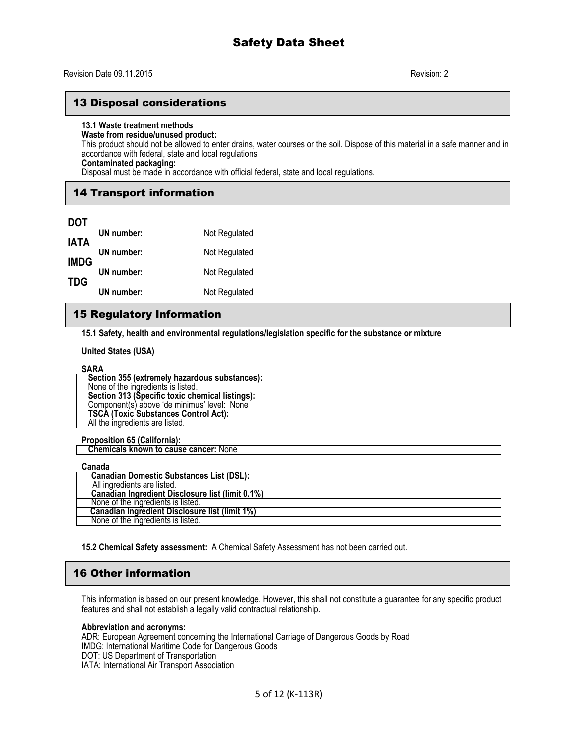# 13 Disposal considerations

## **13.1 Waste treatment methods**

#### **Waste from residue/unused product:**

This product should not be allowed to enter drains, water courses or the soil. Dispose of this material in a safe manner and in accordance with federal, state and local regulations

**Contaminated packaging:**

Disposal must be made in accordance with official federal, state and local regulations.

# 14 Transport information

| <b>DOT</b>  |            |               |
|-------------|------------|---------------|
| <b>IATA</b> | UN number: | Not Regulated |
| <b>IMDG</b> | UN number: | Not Regulated |
| <b>TDG</b>  | UN number: | Not Regulated |
|             | UN number: | Not Regulated |

# 15 Regulatory Information

**15.1 Safety, health and environmental regulations/legislation specific for the substance or mixture**

**United States (USA)**

# **SARA**

| 1111                                            |
|-------------------------------------------------|
| Section 355 (extremely hazardous substances):   |
| None of the ingredients is listed.              |
| Section 313 (Specific toxic chemical listings): |
| Component(s) above 'de minimus' level: None     |
| <b>TSCA (Toxic Substances Control Act):</b>     |
| All the ingredients are listed.                 |

**Proposition 65 (California):**

 **Chemicals known to cause cancer:** None

| Canada                                           |
|--------------------------------------------------|
| Canadian Domestic Substances List (DSL):         |
| All ingredients are listed.                      |
| Canadian Ingredient Disclosure list (limit 0.1%) |
| None of the ingredients is listed.               |
| Canadian Ingredient Disclosure list (limit 1%)   |
| None of the ingredients is listed.               |

**15.2 Chemical Safety assessment:** A Chemical Safety Assessment has not been carried out.

# 16 Other information

This information is based on our present knowledge. However, this shall not constitute a guarantee for any specific product features and shall not establish a legally valid contractual relationship.

## **Abbreviation and acronyms:**

ADR: European Agreement concerning the International Carriage of Dangerous Goods by Road IMDG: International Maritime Code for Dangerous Goods DOT: US Department of Transportation IATA: International Air Transport Association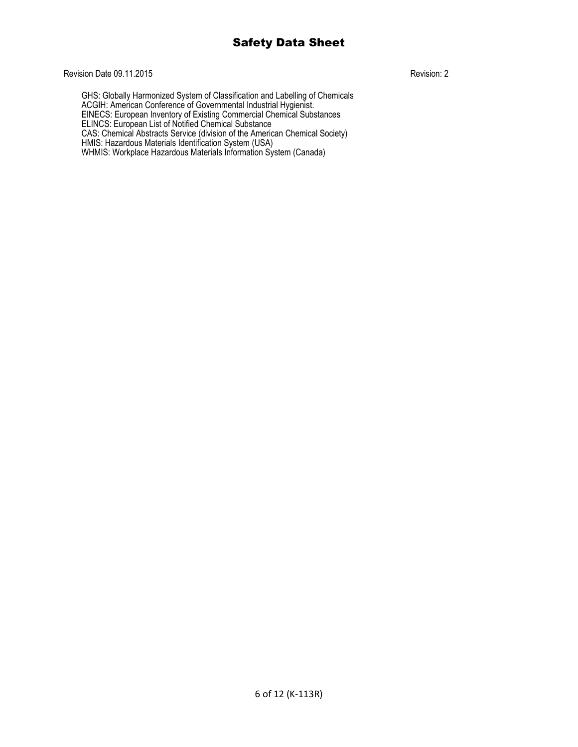# Revision Date 09.11.2015 Revision: 2

GHS: Globally Harmonized System of Classification and Labelling of Chemicals ACGIH: American Conference of Governmental Industrial Hygienist. EINECS: European Inventory of Existing Commercial Chemical Substances ELINCS: European List of Notified Chemical Substance CAS: Chemical Abstracts Service (division of the American Chemical Society) HMIS: Hazardous Materials Identification System (USA) WHMIS: Workplace Hazardous Materials Information System (Canada)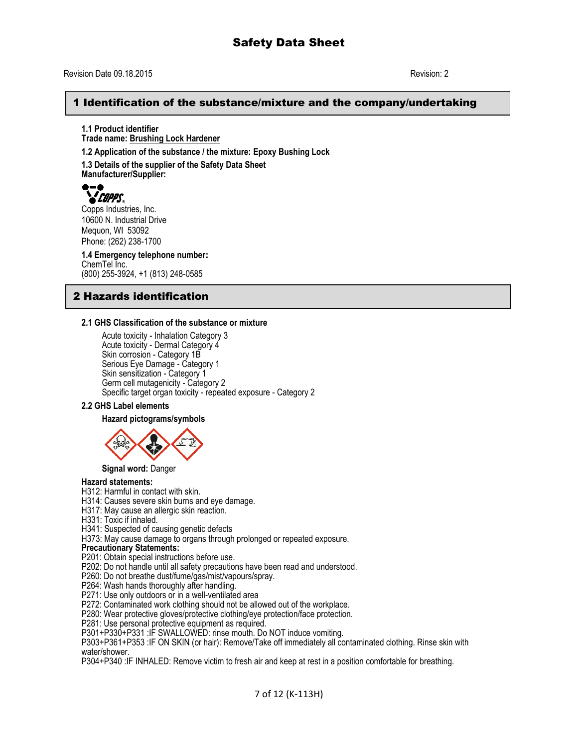## Revision Date 09.18.2015 Revision: 2

# 1 Identification of the substance/mixture and the company/undertaking

**1.1 Product identifier Trade name: Brushing Lock Hardener**

**1.2 Application of the substance / the mixture: Epoxy Bushing Lock**

**1.3 Details of the supplier of the Safety Data Sheet Manufacturer/Supplier:**



10600 N. Industrial Drive Mequon, WI 53092 Phone: (262) 238-1700

**1.4 Emergency telephone number:** ChemTel Inc. (800) 255-3924, +1 (813) 248-0585

# 2 Hazards identification

## **2.1 GHS Classification of the substance or mixture**

Acute toxicity - Inhalation Category 3 Acute toxicity - Dermal Category 4 Skin corrosion - Category 1B Serious Eye Damage - Category 1 Skin sensitization - Category 1 Germ cell mutagenicity - Category 2 Specific target organ toxicity - repeated exposure - Category 2

## **2.2 GHS Label elements**

### **Hazard pictograms/symbols**



**Signal word:** Danger

# **Hazard statements:**

H312: Harmful in contact with skin.

- H314: Causes severe skin burns and eye damage.
- H317: May cause an allergic skin reaction.
- H331: Toxic if inhaled.

H341: Suspected of causing genetic defects

H373: May cause damage to organs through prolonged or repeated exposure.

#### **Precautionary Statements:**

P201: Obtain special instructions before use.

P202: Do not handle until all safety precautions have been read and understood.

- P260: Do not breathe dust/fume/gas/mist/vapours/spray.
- P264: Wash hands thoroughly after handling.
- P271: Use only outdoors or in a well-ventilated area
- P272: Contaminated work clothing should not be allowed out of the workplace.

P280: Wear protective gloves/protective clothing/eye protection/face protection.

P281: Use personal protective equipment as required.

P301+P330+P331 :IF SWALLOWED: rinse mouth. Do NOT induce vomiting.

P303+P361+P353 :IF ON SKIN (or hair): Remove/Take off immediately all contaminated clothing. Rinse skin with water/shower.

P304+P340 :IF INHALED: Remove victim to fresh air and keep at rest in a position comfortable for breathing.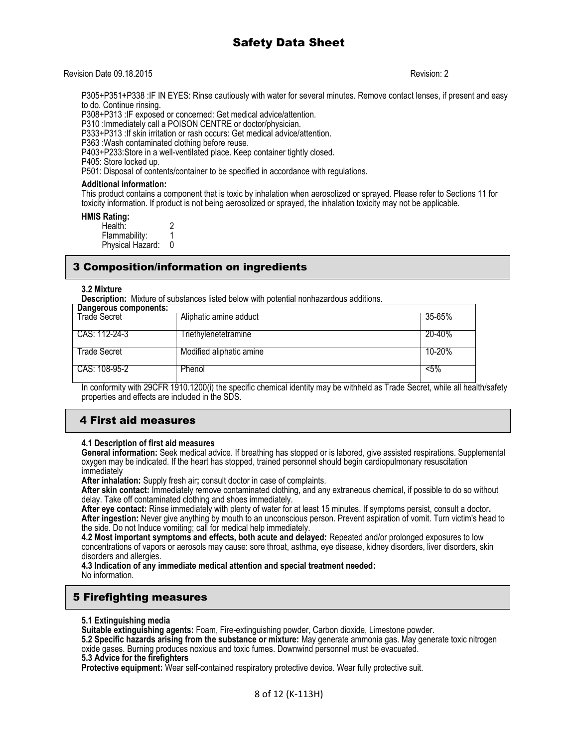### Revision Date 09.18.2015 Revision: 2

P305+P351+P338 :IF IN EYES: Rinse cautiously with water for several minutes. Remove contact lenses, if present and easy to do. Continue rinsing.

P308+P313 :IF exposed or concerned: Get medical advice/attention.

P310 :Immediately call a POISON CENTRE or doctor/physician.

P333+P313 :If skin irritation or rash occurs: Get medical advice/attention.

P363 :Wash contaminated clothing before reuse.

P403+P233:Store in a well-ventilated place. Keep container tightly closed.

P405: Store locked up.

P501: Disposal of contents/container to be specified in accordance with regulations.

#### **Additional information:**

This product contains a component that is toxic by inhalation when aerosolized or sprayed. Please refer to Sections 11 for toxicity information. If product is not being aerosolized or sprayed, the inhalation toxicity may not be applicable.

**HMIS Rating:** 

Health: 2<br>Flammability: 1 Flammability: 1<br>Physical Hazard: 0 Physical Hazard:

# 3 Composition/information on ingredients

### **3.2 Mixture**

**Description:** Mixture of substances listed below with potential nonhazardous additions.

| Dangerous components: |                          |         |
|-----------------------|--------------------------|---------|
| Trade Secret          | Aliphatic amine adduct   | 35-65%  |
| CAS: 112-24-3         | Triethylenetetramine     | 20-40%  |
| Trade Secret          | Modified aliphatic amine | 10-20%  |
| CAS: 108-95-2         | Phenol                   | $< 5\%$ |

In conformity with 29CFR 1910.1200(i) the specific chemical identity may be withheld as Trade Secret, while all health/safety properties and effects are included in the SDS.

# 4 First aid measures

## **4.1 Description of first aid measures**

**General information:** Seek medical advice. If breathing has stopped or is labored, give assisted respirations. Supplemental oxygen may be indicated. If the heart has stopped, trained personnel should begin cardiopulmonary resuscitation immediately

**After inhalation:** Supply fresh air**;** consult doctor in case of complaints.

**After skin contact:** Immediately remove contaminated clothing, and any extraneous chemical, if possible to do so without delay. Take off contaminated clothing and shoes immediately.

**After eye contact:** Rinse immediately with plenty of water for at least 15 minutes. If symptoms persist, consult a doctor**. After ingestion:** Never give anything by mouth to an unconscious person. Prevent aspiration of vomit. Turn victim's head to the side. Do not Induce vomiting; call for medical help immediately.

**4.2 Most important symptoms and effects, both acute and delayed:** Repeated and/or prolonged exposures to low concentrations of vapors or aerosols may cause: sore throat, asthma, eye disease, kidney disorders, liver disorders, skin disorders and allergies.

**4.3 Indication of any immediate medical attention and special treatment needed:** No information.

# 5 Firefighting measures

**5.1 Extinguishing media**

**Suitable extinguishing agents:** Foam, Fire-extinguishing powder, Carbon dioxide, Limestone powder.

**5.2 Specific hazards arising from the substance or mixture:** May generate ammonia gas. May generate toxic nitrogen oxide gases. Burning produces noxious and toxic fumes. Downwind personnel must be evacuated.

**5.3 Advice for the firefighters**

**Protective equipment:** Wear self-contained respiratory protective device. Wear fully protective suit.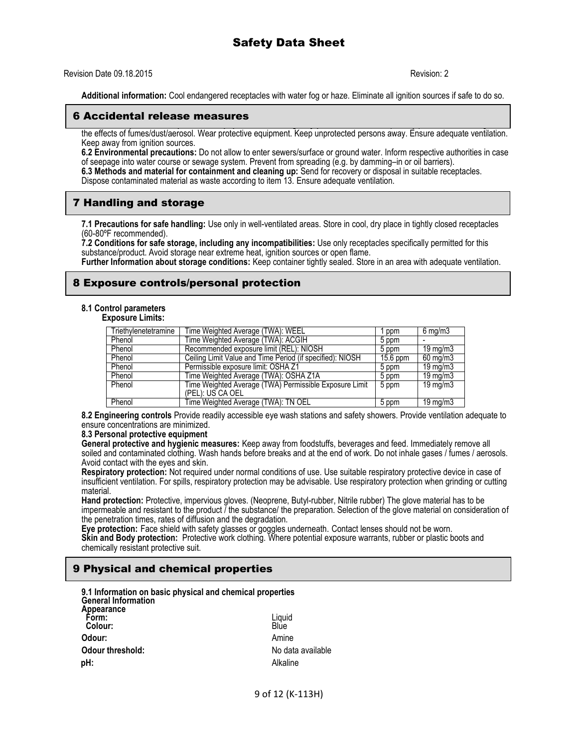### Revision Date 09.18.2015 Revision: 2

**Additional information:** Cool endangered receptacles with water fog or haze. Eliminate all ignition sources if safe to do so.

#### **6.1 Personal precautions, protective equipment and emergency procedures:** Use respiratory protective device against 6 Accidental release measures

the effects of fumes/dust/aerosol. Wear protective equipment. Keep unprotected persons away. Ensure adequate ventilation. Keep away from ignition sources.

**6.2 Environmental precautions:** Do not allow to enter sewers/surface or ground water. Inform respective authorities in case of seepage into water course or sewage system. Prevent from spreading (e.g. by damming–in or oil barriers). **6.3 Methods and material for containment and cleaning up:** Send for recovery or disposal in suitable receptacles. Dispose contaminated material as waste according to item 13. Ensure adequate ventilation.

# 7 Handling and storage

**7.1 Precautions for safe handling:** Use only in well-ventilated areas. Store in cool, dry place in tightly closed receptacles (60-80ºF recommended).

**7.2 Conditions for safe storage, including any incompatibilities:** Use only receptacles specifically permitted for this substance/product. Avoid storage near extreme heat, ignition sources or open flame.

**Further Information about storage conditions:** Keep container tightly sealed. Store in an area with adequate ventilation.

# 8 Exposure controls/personal protection

## **8.1 Control parameters**

**Exposure Limits:**

| Triethylenetetramine | Time Weighted Average (TWA): WEEL                         | ppm        | $6 \text{ mg/m}$     |
|----------------------|-----------------------------------------------------------|------------|----------------------|
| Phenol               | Time Weighted Average (TWA): ACGIH                        | 5 ppm      |                      |
| Phenol               | Recommended exposure limit (REL): NIOSH                   | 5 ppm      | $19 \text{ mg/m}$    |
| Phenol               | Ceiling Limit Value and Time Period (if specified): NIOSH | $15.6$ ppm | 60 mg/m3             |
| Phenol               | Permissible exposure limit: OSHA Z1                       | 5 ppm      | $19 \,\mathrm{mq/m}$ |
| Phenol               | Time Weighted Average (TWA): OSHA Z1A                     | 5 ppm      | $19 \,\mathrm{mq/m}$ |
| Phenol               | Time Weighted Average (TWA) Permissible Exposure Limit    | 5 ppm      | 19 mg/m $3$          |
|                      | (PEL): US CA OEL                                          |            |                      |
| Phenol               | Time Weighted Average (TWA): TN OEL                       | 5 ppm      | $19 \text{ mg/m}$    |

**8.2 Engineering controls** Provide readily accessible eye wash stations and safety showers. Provide ventilation adequate to ensure concentrations are minimized.

#### **8.3 Personal protective equipment**

**General protective and hygienic measures:** Keep away from foodstuffs, beverages and feed. Immediately remove all soiled and contaminated clothing. Wash hands before breaks and at the end of work. Do not inhale gases / fumes / aerosols. Avoid contact with the eyes and skin.

**Respiratory protection:** Not required under normal conditions of use. Use suitable respiratory protective device in case of insufficient ventilation. For spills, respiratory protection may be advisable. Use respiratory protection when grinding or cutting material.

**Hand protection:** Protective, impervious gloves. (Neoprene, Butyl-rubber, Nitrile rubber) The glove material has to be impermeable and resistant to the product / the substance/ the preparation. Selection of the glove material on consideration of the penetration times, rates of diffusion and the degradation.

**Eye protection:** Face shield with safety glasses or goggles underneath. Contact lenses should not be worn. **Skin and Body protection:** Protective work clothing. Where potential exposure warrants, rubber or plastic boots and chemically resistant protective suit.

# 9 Physical and chemical properties

| 9.1 Information on basic physical and chemical properties<br><b>General Information</b> |                            |
|-----------------------------------------------------------------------------------------|----------------------------|
| Appearance<br>Form:                                                                     | Liquid                     |
| Colour:                                                                                 | Blue                       |
| Odour:<br><b>Odour threshold:</b>                                                       | Amine<br>No data available |
| pH:                                                                                     | Alkaline                   |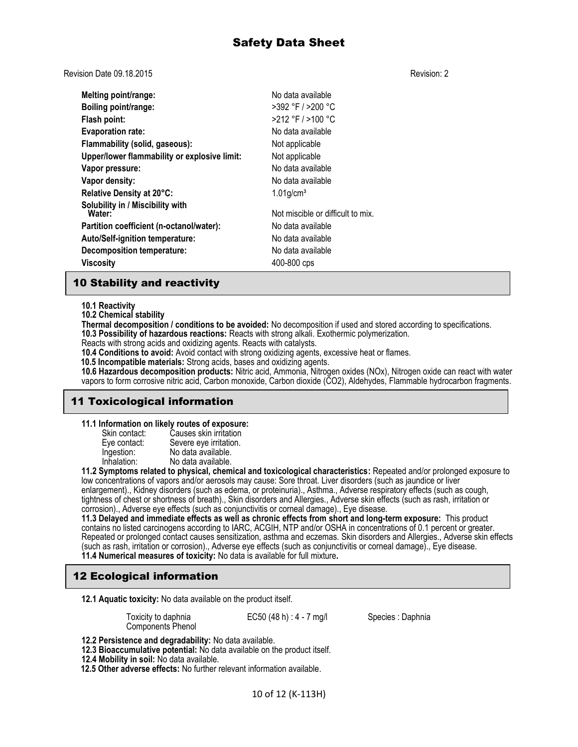Revision Date 09.18.2015 Revision: 2

**Melting point/range:** No data available **Boiling point/range:** >392 °F / >200 °C **Flash point:** >212 °F / >100 °C **Evaporation rate:** No data available **Flammability (solid, gaseous):** Not applicable **Upper/lower flammability or explosive limit:** Not applicable **Vapor pressure:** No data available **Vapor density:** No data available **Relative Density at 20°C:** 1.01g/cm<sup>3</sup> **Solubility in / Miscibility with** Not miscible or difficult to mix. **Partition coefficient (n-octanol/water):** No data available **Auto/Self-ignition temperature:** No data available **Decomposition temperature:** No data available **Viscosity** 400-800 cps

# 10 Stability and reactivity

**10.1 Reactivity**

**10.2 Chemical stability**

**Thermal decomposition / conditions to be avoided:** No decomposition if used and stored according to specifications. **10.3 Possibility of hazardous reactions:** Reacts with strong alkali. Exothermic polymerization.

Reacts with strong acids and oxidizing agents. Reacts with catalysts.

**10.4 Conditions to avoid:** Avoid contact with strong oxidizing agents, excessive heat or flames.

 **10.5 Incompatible materials:** Strong acids, bases and oxidizing agents.

**10.6 Hazardous decomposition products:** Nitric acid, Ammonia, Nitrogen oxides (NOx), Nitrogen oxide can react with water vapors to form corrosive nitric acid, Carbon monoxide, Carbon dioxide (CO2), Aldehydes, Flammable hydrocarbon fragments.

# 11 Toxicological information

**11.1 Information on likely routes of exposure:**

| Causes skin irritation |
|------------------------|
| Severe eye irritation. |
| No data available.     |
| No data available.     |
|                        |

**11.2 Symptoms related to physical, chemical and toxicological characteristics:** Repeated and/or prolonged exposure to low concentrations of vapors and/or aerosols may cause: Sore throat. Liver disorders (such as jaundice or liver enlargement)., Kidney disorders (such as edema, or proteinuria)., Asthma., Adverse respiratory effects (such as cough, tightness of chest or shortness of breath)., Skin disorders and Allergies., Adverse skin effects (such as rash, irritation or corrosion)., Adverse eye effects (such as conjunctivitis or corneal damage)., Eye disease.

**11.3 Delayed and immediate effects as well as chronic effects from short and long-term exposure:** This product contains no listed carcinogens according to IARC, ACGIH, NTP and/or OSHA in concentrations of 0.1 percent or greater. Repeated or prolonged contact causes sensitization, asthma and eczemas. Skin disorders and Allergies., Adverse skin effects (such as rash, irritation or corrosion)., Adverse eye effects (such as conjunctivitis or corneal damage)., Eye disease. **11.4 Numerical measures of toxicity:** No data is available for full mixture**.** 

# 12 Ecological information

**12.1 Aquatic toxicity:** No data available on the product itself.

Toxicity to daphnia Components Phenol EC50 (48 h) : 4 - 7 mg/l Species : Daphnia

**12.2 Persistence and degradability:** No data available.

- **12.3 Bioaccumulative potential:** No data available on the product itself.
- **12.4 Mobility in soil:** No data available.

 **12.5 Other adverse effects:** No further relevant information available.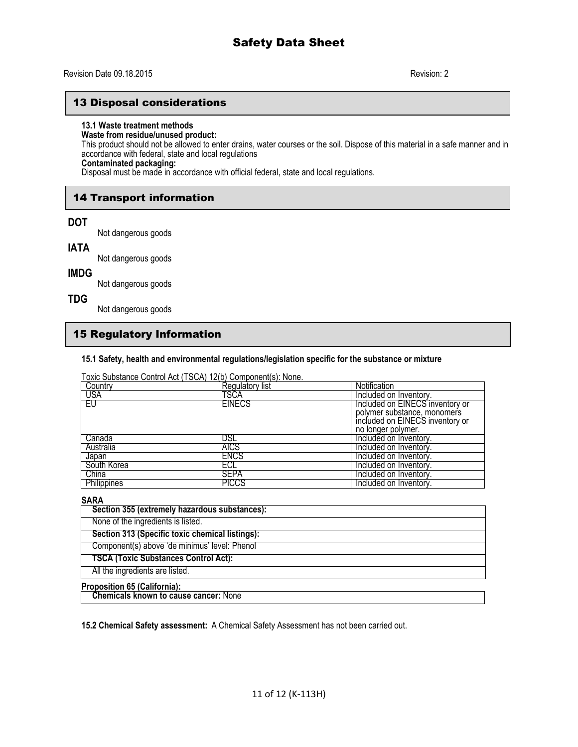# 13 Disposal considerations

## **13.1 Waste treatment methods**

## **Waste from residue/unused product:**

This product should not be allowed to enter drains, water courses or the soil. Dispose of this material in a safe manner and in accordance with federal, state and local regulations

# **Contaminated packaging:**

Disposal must be made in accordance with official federal, state and local regulations.

# 14 Transport information

## **DOT**

Not dangerous goods

## **IATA**

Not dangerous goods

# **IMDG**

Not dangerous goods

# **TDG**

Not dangerous goods

# 15 Regulatory Information

## **15.1 Safety, health and environmental regulations/legislation specific for the substance or mixture**

Toxic Substance Control Act (TSCA) 12(b) Component(s): None.

| Country            | Regulatory list | Notification                    |
|--------------------|-----------------|---------------------------------|
| USA                | TSCA            | Included on Inventory.          |
| EU                 | <b>EINECS</b>   | Included on EINECS inventory or |
|                    |                 | polymer substance, monomers     |
|                    |                 | included on EINECS inventory or |
|                    |                 | no longer polymer.              |
| Canada             | DSL             | Included on Inventory.          |
| Australia          | <b>AICS</b>     | Included on Inventory.          |
| Japan              | <b>ENCS</b>     | Included on Inventory.          |
| South Korea        | ECL             | Included on Inventory.          |
| China              | <b>SEPA</b>     | Included on Inventory.          |
| <b>Philippines</b> | <b>PICCS</b>    | Included on Inventory.          |

# **SARA**

| Section 355 (extremely hazardous substances):   |
|-------------------------------------------------|
| None of the ingredients is listed.              |
| Section 313 (Specific toxic chemical listings): |
| Component(s) above 'de minimus' level: Phenol   |
| <b>TSCA (Toxic Substances Control Act):</b>     |
| All the ingredients are listed.                 |
| .                                               |

#### **Proposition 65 (California):**

 **Chemicals known to cause cancer:** None

**15.2 Chemical Safety assessment:** A Chemical Safety Assessment has not been carried out.